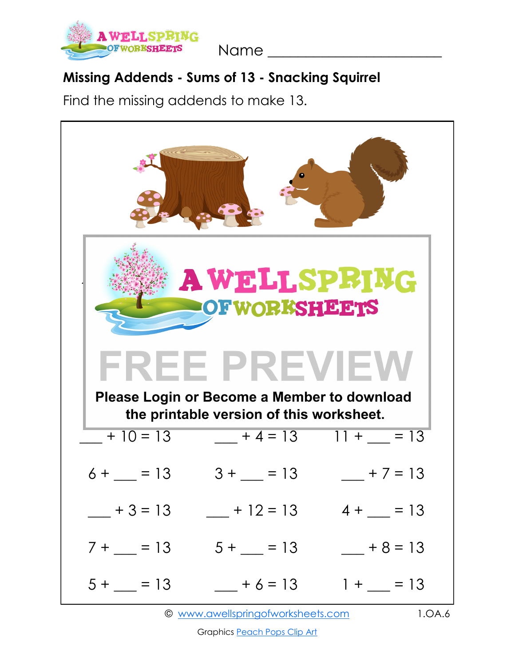

Name \_\_\_\_\_\_\_\_\_\_\_\_\_\_\_\_\_\_\_\_\_\_\_

## **Missing Addends - Sums of 13 - Snacking Squirrel**

Find the missing addends to make 13.



Graphics [Peach Pops Clip Art](https://www.etsy.com/shop/peachpopsclipart)